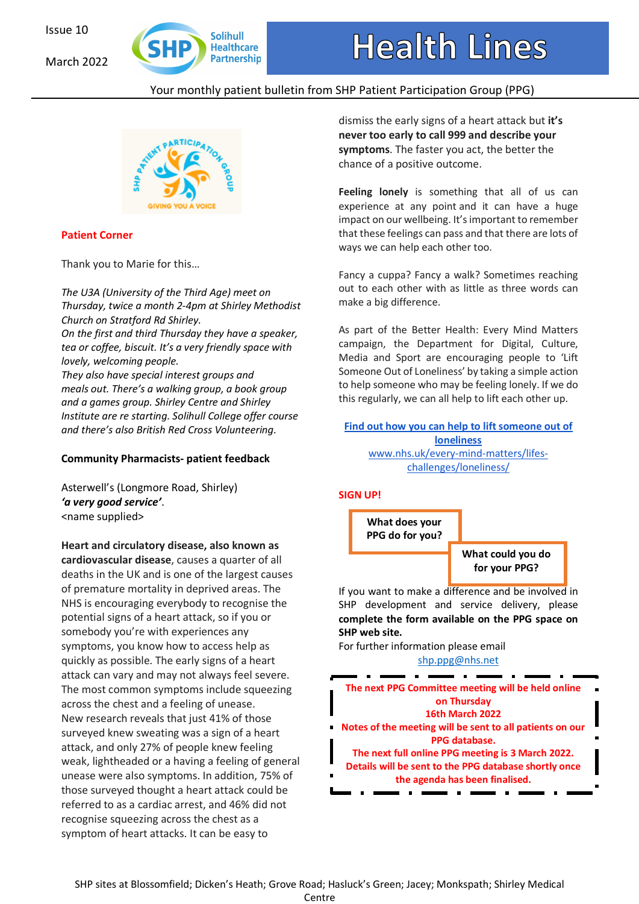March 2022



# Your monthly patient bulletin from SHP Patient Participation Group (PPG)



## **Patient Corner**

Thank you to Marie for this…

*The U3A (University of the Third Age) meet on Thursday, twice a month 2-4pm at Shirley Methodist Church on Stratford Rd Shirley. On the first and third Thursday they have a speaker,*

*tea or coffee, biscuit. It's a very friendly space with lovely, welcoming people.* 

*They also have special interest groups and meals out. There's a walking group, a book group and a games group. Shirley Centre and Shirley Institute are re starting. Solihull College offer course and there's also British Red Cross Volunteering.*

## **Community Pharmacists- patient feedback**

Asterwell's (Longmore Road, Shirley) *'a very good service'*. <name supplied>

**Heart and circulatory disease, also known as cardiovascular disease**, causes a quarter of all deaths in the UK and is one of the largest causes of premature mortality in deprived areas. The NHS is encouraging everybody to recognise the potential signs of a heart attack, so if you or somebody you're with experiences any symptoms, you know how to access help as quickly as possible. The early signs of a heart attack can vary and may not always feel severe. The most common symptoms include squeezing across the chest and a feeling of unease. New research reveals that just 41% of those surveyed knew sweating was a sign of a heart attack, and only 27% of people knew feeling weak, lightheaded or a having a feeling of general unease were also symptoms. In addition, 75% of those surveyed thought a heart attack could be referred to as a cardiac arrest, and 46% did not recognise squeezing across the chest as a symptom of heart attacks. It can be easy to

dismiss the early signs of a heart attack but **it's never too early to call 999 and describe your symptoms**. The faster you act, the better the chance of a positive outcome.

**Feeling lonely** is something that all of us can experience at any point and it can have a huge impact on our wellbeing. It'simportant to remember that these feelings can pass and that there are lots of ways we can help each other too.

Fancy a cuppa? Fancy a walk? Sometimes reaching out to each other with as little as three words can make a big difference.

As part of the Better Health: Every Mind Matters campaign, the Department for Digital, Culture, Media and Sport are encouraging people to 'Lift Someone Out of Loneliness' by taking a simple action to help someone who may be feeling lonely. If we do this regularly, we can all help to lift each other up.

**<u>find out how you can help to lift someone out of</u> loneliness** www.nhs.uk/every-mind-matters/lifeschallenges/loneliness/

## **SIGN UP!**



If you want to make a difference and be involved in SHP development and service delivery, please **complete the form available on the PPG space on SHP web site.** 

For further information please email shp.ppg@nhs.net